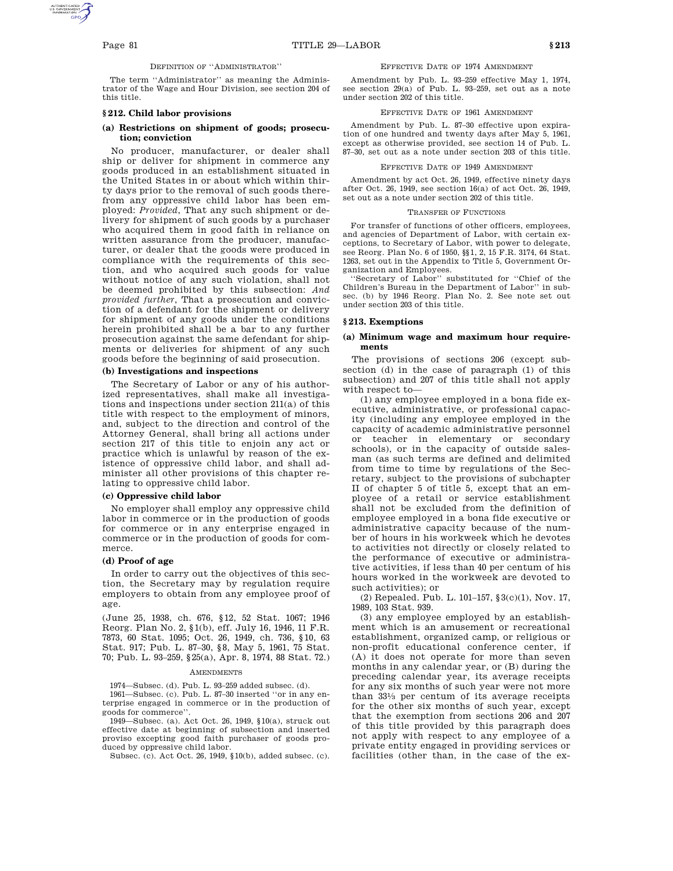### DEFINITION OF ''ADMINISTRATOR''

The term ''Administrator'' as meaning the Administrator of the Wage and Hour Division, see section 204 of this title.

# **§ 212. Child labor provisions**

# **(a) Restrictions on shipment of goods; prosecution; conviction**

No producer, manufacturer, or dealer shall ship or deliver for shipment in commerce any goods produced in an establishment situated in the United States in or about which within thirty days prior to the removal of such goods therefrom any oppressive child labor has been employed: *Provided*, That any such shipment or delivery for shipment of such goods by a purchaser who acquired them in good faith in reliance on written assurance from the producer, manufacturer, or dealer that the goods were produced in compliance with the requirements of this section, and who acquired such goods for value without notice of any such violation, shall not be deemed prohibited by this subsection: *And provided further*, That a prosecution and conviction of a defendant for the shipment or delivery for shipment of any goods under the conditions herein prohibited shall be a bar to any further prosecution against the same defendant for shipments or deliveries for shipment of any such goods before the beginning of said prosecution.

## **(b) Investigations and inspections**

The Secretary of Labor or any of his authorized representatives, shall make all investigations and inspections under section 211(a) of this title with respect to the employment of minors, and, subject to the direction and control of the Attorney General, shall bring all actions under section 217 of this title to enjoin any act or practice which is unlawful by reason of the existence of oppressive child labor, and shall administer all other provisions of this chapter relating to oppressive child labor.

# **(c) Oppressive child labor**

No employer shall employ any oppressive child labor in commerce or in the production of goods for commerce or in any enterprise engaged in commerce or in the production of goods for commerce.

# **(d) Proof of age**

In order to carry out the objectives of this section, the Secretary may by regulation require employers to obtain from any employee proof of age.

(June 25, 1938, ch. 676, §12, 52 Stat. 1067; 1946 Reorg. Plan No. 2, §1(b), eff. July 16, 1946, 11 F.R. 7873, 60 Stat. 1095; Oct. 26, 1949, ch. 736, §10, 63 Stat. 917; Pub. L. 87–30, §8, May 5, 1961, 75 Stat. 70; Pub. L. 93–259, §25(a), Apr. 8, 1974, 88 Stat. 72.)

### **AMENDMENTS**

1974—Subsec. (d). Pub. L. 93–259 added subsec. (d).

1961—Subsec. (c). Pub. L. 87–30 inserted ''or in any enterprise engaged in commerce or in the production of goods for commerce''.

1949—Subsec. (a). Act Oct. 26, 1949, §10(a), struck out effective date at beginning of subsection and inserted proviso excepting good faith purchaser of goods produced by oppressive child labor.

Subsec. (c). Act Oct. 26, 1949, §10(b), added subsec. (c).

## EFFECTIVE DATE OF 1974 AMENDMENT

Amendment by Pub. L. 93–259 effective May 1, 1974, see section 29(a) of Pub. L. 93–259, set out as a note under section 202 of this title.

#### EFFECTIVE DATE OF 1961 AMENDMENT

Amendment by Pub. L. 87–30 effective upon expiration of one hundred and twenty days after May 5, 1961, except as otherwise provided, see section 14 of Pub. L. 87–30, set out as a note under section 203 of this title.

### EFFECTIVE DATE OF 1949 AMENDMENT

Amendment by act Oct. 26, 1949, effective ninety days after Oct. 26, 1949, see section 16(a) of act Oct. 26, 1949, set out as a note under section 202 of this title.

# TRANSFER OF FUNCTIONS

For transfer of functions of other officers, employees, and agencies of Department of Labor, with certain exceptions, to Secretary of Labor, with power to delegate, see Reorg. Plan No. 6 of 1950, §§1, 2, 15 F.R. 3174, 64 Stat. 1263, set out in the Appendix to Title 5, Government Organization and Employees.

''Secretary of Labor'' substituted for ''Chief of the Children's Bureau in the Department of Labor'' in subsec. (b) by 1946 Reorg. Plan No. 2. See note set out under section 203 of this title.

## **§ 213. Exemptions**

# **(a) Minimum wage and maximum hour requirements**

The provisions of sections 206 (except subsection (d) in the case of paragraph (1) of this subsection) and 207 of this title shall not apply with respect to—

(1) any employee employed in a bona fide executive, administrative, or professional capacity (including any employee employed in the capacity of academic administrative personnel or teacher in elementary or secondary schools), or in the capacity of outside salesman (as such terms are defined and delimited from time to time by regulations of the Secretary, subject to the provisions of subchapter II of chapter 5 of title 5, except that an employee of a retail or service establishment shall not be excluded from the definition of employee employed in a bona fide executive or administrative capacity because of the number of hours in his workweek which he devotes to activities not directly or closely related to the performance of executive or administrative activities, if less than 40 per centum of his hours worked in the workweek are devoted to such activities); or

(2) Repealed. Pub. L. 101–157, §3(c)(1), Nov. 17, 1989, 103 Stat. 939.

(3) any employee employed by an establishment which is an amusement or recreational establishment, organized camp, or religious or non-profit educational conference center, if (A) it does not operate for more than seven months in any calendar year, or (B) during the preceding calendar year, its average receipts for any six months of such year were not more than 331 ⁄3 per centum of its average receipts for the other six months of such year, except that the exemption from sections 206 and 207 of this title provided by this paragraph does not apply with respect to any employee of a private entity engaged in providing services or facilities (other than, in the case of the ex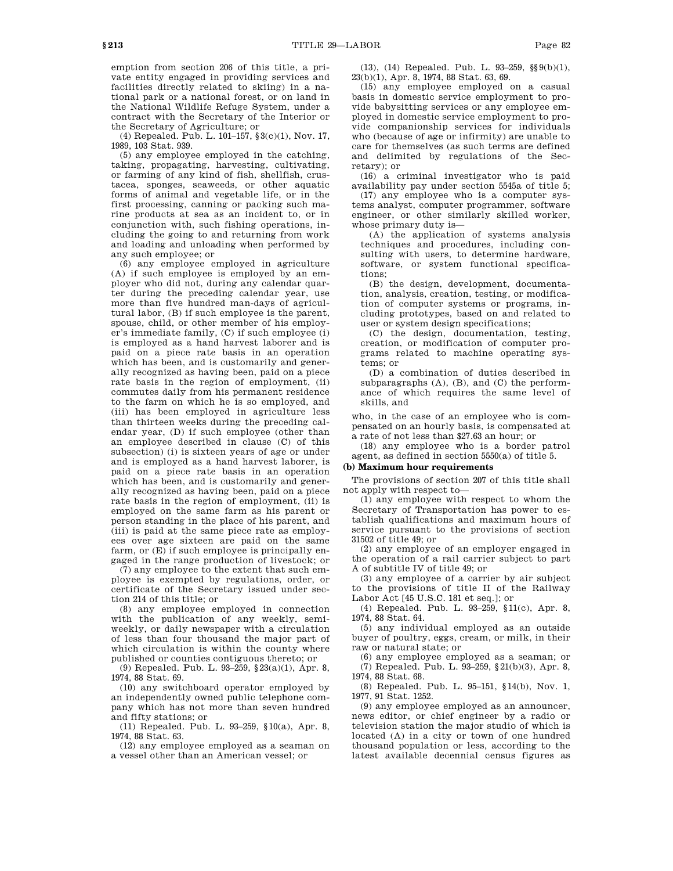emption from section 206 of this title, a private entity engaged in providing services and facilities directly related to skiing) in a national park or a national forest, or on land in the National Wildlife Refuge System, under a contract with the Secretary of the Interior or the Secretary of Agriculture; or

(4) Repealed. Pub. L. 101–157, §3(c)(1), Nov. 17, 1989, 103 Stat. 939.

(5) any employee employed in the catching, taking, propagating, harvesting, cultivating, or farming of any kind of fish, shellfish, crustacea, sponges, seaweeds, or other aquatic forms of animal and vegetable life, or in the first processing, canning or packing such marine products at sea as an incident to, or in conjunction with, such fishing operations, including the going to and returning from work and loading and unloading when performed by any such employee; or

(6) any employee employed in agriculture (A) if such employee is employed by an employer who did not, during any calendar quarter during the preceding calendar year, use more than five hundred man-days of agricultural labor, (B) if such employee is the parent, spouse, child, or other member of his employer's immediate family, (C) if such employee (i) is employed as a hand harvest laborer and is paid on a piece rate basis in an operation which has been, and is customarily and generally recognized as having been, paid on a piece rate basis in the region of employment, (ii) commutes daily from his permanent residence to the farm on which he is so employed, and (iii) has been employed in agriculture less than thirteen weeks during the preceding calendar year, (D) if such employee (other than an employee described in clause (C) of this subsection) (i) is sixteen years of age or under and is employed as a hand harvest laborer, is paid on a piece rate basis in an operation which has been, and is customarily and generally recognized as having been, paid on a piece rate basis in the region of employment, (ii) is employed on the same farm as his parent or person standing in the place of his parent, and (iii) is paid at the same piece rate as employees over age sixteen are paid on the same farm, or (E) if such employee is principally engaged in the range production of livestock; or

(7) any employee to the extent that such employee is exempted by regulations, order, or certificate of the Secretary issued under section 214 of this title; or

(8) any employee employed in connection with the publication of any weekly, semiweekly, or daily newspaper with a circulation of less than four thousand the major part of which circulation is within the county where published or counties contiguous thereto; or

(9) Repealed. Pub. L. 93–259, §23(a)(1), Apr. 8, 1974, 88 Stat. 69.

(10) any switchboard operator employed by an independently owned public telephone company which has not more than seven hundred and fifty stations; or

(11) Repealed. Pub. L. 93–259, §10(a), Apr. 8, 1974, 88 Stat. 63.

(12) any employee employed as a seaman on a vessel other than an American vessel; or

(13), (14) Repealed. Pub. L. 93–259, §§9(b)(1), 23(b)(1), Apr. 8, 1974, 88 Stat. 63, 69.

(15) any employee employed on a casual basis in domestic service employment to provide babysitting services or any employee employed in domestic service employment to provide companionship services for individuals who (because of age or infirmity) are unable to care for themselves (as such terms are defined and delimited by regulations of the Secretary); or

(16) a criminal investigator who is paid availability pay under section 5545a of title 5;

(17) any employee who is a computer systems analyst, computer programmer, software engineer, or other similarly skilled worker, whose primary duty is—

(A) the application of systems analysis techniques and procedures, including consulting with users, to determine hardware, software, or system functional specifications;

(B) the design, development, documentation, analysis, creation, testing, or modification of computer systems or programs, including prototypes, based on and related to user or system design specifications;

(C) the design, documentation, testing, creation, or modification of computer programs related to machine operating systems; or

(D) a combination of duties described in subparagraphs (A), (B), and (C) the performance of which requires the same level of skills, and

who, in the case of an employee who is compensated on an hourly basis, is compensated at a rate of not less than \$27.63 an hour; or

(18) any employee who is a border patrol agent, as defined in section 5550(a) of title 5.

# **(b) Maximum hour requirements**

The provisions of section 207 of this title shall not apply with respect to—

(1) any employee with respect to whom the Secretary of Transportation has power to establish qualifications and maximum hours of service pursuant to the provisions of section 31502 of title 49; or

(2) any employee of an employer engaged in the operation of a rail carrier subject to part A of subtitle IV of title 49; or

(3) any employee of a carrier by air subject to the provisions of title II of the Railway Labor Act [45 U.S.C. 181 et seq.]; or

(4) Repealed. Pub. L. 93–259, §11(c), Apr. 8, 1974, 88 Stat. 64.

(5) any individual employed as an outside buyer of poultry, eggs, cream, or milk, in their raw or natural state; or

(6) any employee employed as a seaman; or

(7) Repealed. Pub. L. 93–259, §21(b)(3), Apr. 8, 1974, 88 Stat. 68.

(8) Repealed. Pub. L. 95–151, §14(b), Nov. 1, 1977, 91 Stat. 1252.

(9) any employee employed as an announcer, news editor, or chief engineer by a radio or television station the major studio of which is located (A) in a city or town of one hundred thousand population or less, according to the latest available decennial census figures as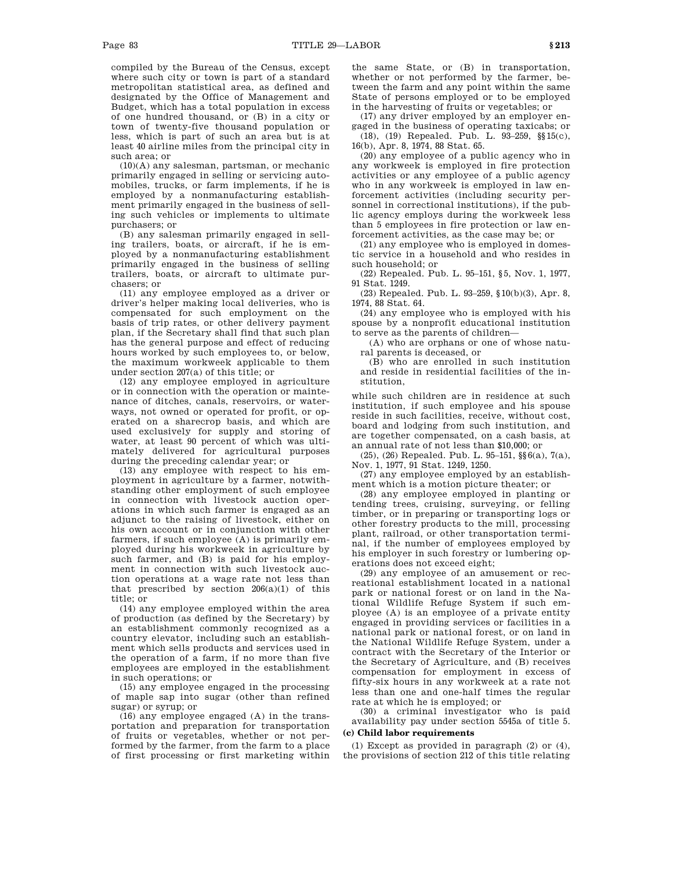compiled by the Bureau of the Census, except where such city or town is part of a standard metropolitan statistical area, as defined and designated by the Office of Management and Budget, which has a total population in excess of one hundred thousand, or (B) in a city or town of twenty-five thousand population or less, which is part of such an area but is at least 40 airline miles from the principal city in such area; or

(10)(A) any salesman, partsman, or mechanic primarily engaged in selling or servicing automobiles, trucks, or farm implements, if he is employed by a nonmanufacturing establishment primarily engaged in the business of selling such vehicles or implements to ultimate purchasers; or

(B) any salesman primarily engaged in selling trailers, boats, or aircraft, if he is employed by a nonmanufacturing establishment primarily engaged in the business of selling trailers, boats, or aircraft to ultimate purchasers; or

(11) any employee employed as a driver or driver's helper making local deliveries, who is compensated for such employment on the basis of trip rates, or other delivery payment plan, if the Secretary shall find that such plan has the general purpose and effect of reducing hours worked by such employees to, or below, the maximum workweek applicable to them under section 207(a) of this title; or

(12) any employee employed in agriculture or in connection with the operation or maintenance of ditches, canals, reservoirs, or waterways, not owned or operated for profit, or operated on a sharecrop basis, and which are used exclusively for supply and storing of water, at least 90 percent of which was ultimately delivered for agricultural purposes during the preceding calendar year; or

(13) any employee with respect to his employment in agriculture by a farmer, notwithstanding other employment of such employee in connection with livestock auction operations in which such farmer is engaged as an adjunct to the raising of livestock, either on his own account or in conjunction with other farmers, if such employee (A) is primarily employed during his workweek in agriculture by such farmer, and (B) is paid for his employment in connection with such livestock auction operations at a wage rate not less than that prescribed by section  $206(a)(1)$  of this title; or

(14) any employee employed within the area of production (as defined by the Secretary) by an establishment commonly recognized as a country elevator, including such an establishment which sells products and services used in the operation of a farm, if no more than five employees are employed in the establishment in such operations; or

(15) any employee engaged in the processing of maple sap into sugar (other than refined sugar) or syrup; or

(16) any employee engaged (A) in the transportation and preparation for transportation of fruits or vegetables, whether or not performed by the farmer, from the farm to a place of first processing or first marketing within the same State, or (B) in transportation, whether or not performed by the farmer, between the farm and any point within the same State of persons employed or to be employed in the harvesting of fruits or vegetables; or

(17) any driver employed by an employer engaged in the business of operating taxicabs; or (18), (19) Repealed. Pub. L. 93–259, §§15(c),

16(b), Apr. 8, 1974, 88 Stat. 65.

(20) any employee of a public agency who in any workweek is employed in fire protection activities or any employee of a public agency who in any workweek is employed in law enforcement activities (including security personnel in correctional institutions), if the public agency employs during the workweek less than 5 employees in fire protection or law enforcement activities, as the case may be; or

(21) any employee who is employed in domestic service in a household and who resides in such household; or

(22) Repealed. Pub. L. 95–151, §5, Nov. 1, 1977, 91 Stat. 1249.

(23) Repealed. Pub. L. 93–259, §10(b)(3), Apr. 8, 1974, 88 Stat. 64.

(24) any employee who is employed with his spouse by a nonprofit educational institution to serve as the parents of children—

(A) who are orphans or one of whose natural parents is deceased, or

(B) who are enrolled in such institution and reside in residential facilities of the institution,

while such children are in residence at such institution, if such employee and his spouse reside in such facilities, receive, without cost, board and lodging from such institution, and are together compensated, on a cash basis, at an annual rate of not less than \$10,000; or

(25), (26) Repealed. Pub. L. 95–151, §§6(a), 7(a), Nov. 1, 1977, 91 Stat. 1249, 1250.

(27) any employee employed by an establishment which is a motion picture theater; or

(28) any employee employed in planting or tending trees, cruising, surveying, or felling timber, or in preparing or transporting logs or other forestry products to the mill, processing plant, railroad, or other transportation terminal, if the number of employees employed by his employer in such forestry or lumbering operations does not exceed eight;

(29) any employee of an amusement or recreational establishment located in a national park or national forest or on land in the National Wildlife Refuge System if such employee (A) is an employee of a private entity engaged in providing services or facilities in a national park or national forest, or on land in the National Wildlife Refuge System, under a contract with the Secretary of the Interior or the Secretary of Agriculture, and (B) receives compensation for employment in excess of fifty-six hours in any workweek at a rate not less than one and one-half times the regular rate at which he is employed; or

(30) a criminal investigator who is paid availability pay under section 5545a of title 5.

# **(c) Child labor requirements**

(1) Except as provided in paragraph (2) or (4), the provisions of section 212 of this title relating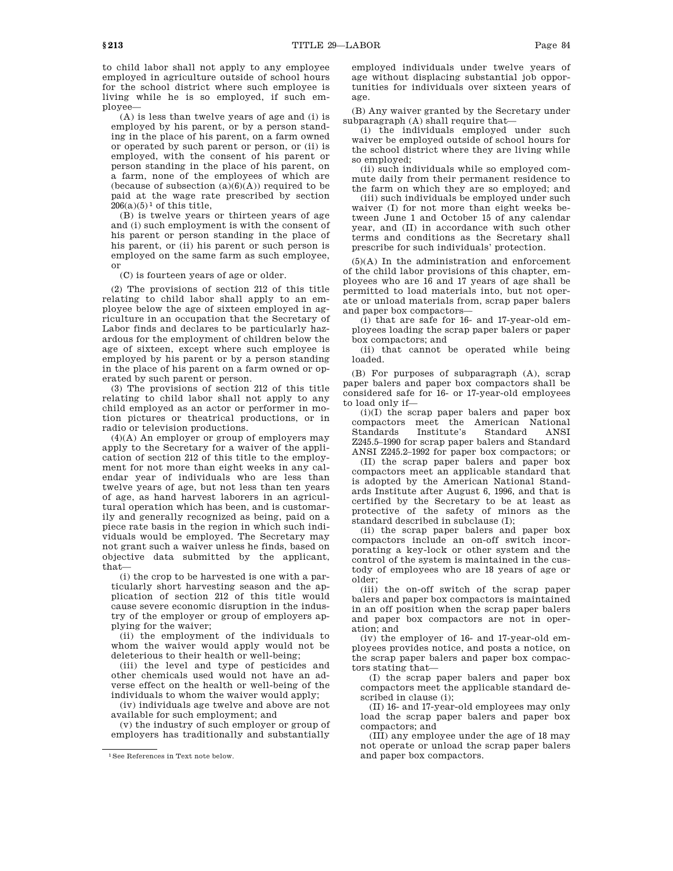to child labor shall not apply to any employee employed in agriculture outside of school hours for the school district where such employee is living while he is so employed, if such employee—

(A) is less than twelve years of age and (i) is employed by his parent, or by a person standing in the place of his parent, on a farm owned or operated by such parent or person, or (ii) is employed, with the consent of his parent or person standing in the place of his parent, on a farm, none of the employees of which are (because of subsection  $(a)(6)(A)$ ) required to be paid at the wage rate prescribed by section  $206(a)(5)^1$  of this title,

(B) is twelve years or thirteen years of age and (i) such employment is with the consent of his parent or person standing in the place of his parent, or (ii) his parent or such person is employed on the same farm as such employee, or

(C) is fourteen years of age or older.

(2) The provisions of section 212 of this title relating to child labor shall apply to an employee below the age of sixteen employed in agriculture in an occupation that the Secretary of Labor finds and declares to be particularly hazardous for the employment of children below the age of sixteen, except where such employee is employed by his parent or by a person standing in the place of his parent on a farm owned or operated by such parent or person.

(3) The provisions of section 212 of this title relating to child labor shall not apply to any child employed as an actor or performer in motion pictures or theatrical productions, or in radio or television productions.

(4)(A) An employer or group of employers may apply to the Secretary for a waiver of the application of section 212 of this title to the employment for not more than eight weeks in any calendar year of individuals who are less than twelve years of age, but not less than ten years of age, as hand harvest laborers in an agricultural operation which has been, and is customarily and generally recognized as being, paid on a piece rate basis in the region in which such individuals would be employed. The Secretary may not grant such a waiver unless he finds, based on objective data submitted by the applicant, that—

(i) the crop to be harvested is one with a particularly short harvesting season and the application of section 212 of this title would cause severe economic disruption in the industry of the employer or group of employers applying for the waiver;

(ii) the employment of the individuals to whom the waiver would apply would not be deleterious to their health or well-being;

(iii) the level and type of pesticides and other chemicals used would not have an adverse effect on the health or well-being of the individuals to whom the waiver would apply;

(iv) individuals age twelve and above are not available for such employment; and

(v) the industry of such employer or group of employers has traditionally and substantially

employed individuals under twelve years of age without displacing substantial job opportunities for individuals over sixteen years of age.

(B) Any waiver granted by the Secretary under subparagraph (A) shall require that—

(i) the individuals employed under such waiver be employed outside of school hours for the school district where they are living while so employed;

(ii) such individuals while so employed commute daily from their permanent residence to the farm on which they are so employed; and

(iii) such individuals be employed under such waiver (I) for not more than eight weeks between June 1 and October 15 of any calendar year, and (II) in accordance with such other terms and conditions as the Secretary shall prescribe for such individuals' protection.

(5)(A) In the administration and enforcement of the child labor provisions of this chapter, employees who are 16 and 17 years of age shall be permitted to load materials into, but not operate or unload materials from, scrap paper balers and paper box compactors—

(i) that are safe for 16- and 17-year-old employees loading the scrap paper balers or paper box compactors; and

(ii) that cannot be operated while being loaded.

(B) For purposes of subparagraph (A), scrap paper balers and paper box compactors shall be considered safe for 16- or 17-year-old employees to load only if—

(i)(I) the scrap paper balers and paper box compactors meet the American National Standards Institute's Standard ANSI Z245.5–1990 for scrap paper balers and Standard ANSI Z245.2–1992 for paper box compactors; or

(II) the scrap paper balers and paper box compactors meet an applicable standard that is adopted by the American National Standards Institute after August 6, 1996, and that is certified by the Secretary to be at least as protective of the safety of minors as the standard described in subclause (I);

(ii) the scrap paper balers and paper box compactors include an on-off switch incorporating a key-lock or other system and the control of the system is maintained in the custody of employees who are 18 years of age or older;

(iii) the on-off switch of the scrap paper balers and paper box compactors is maintained in an off position when the scrap paper balers and paper box compactors are not in operation; and

(iv) the employer of 16- and 17-year-old employees provides notice, and posts a notice, on the scrap paper balers and paper box compactors stating that—

(I) the scrap paper balers and paper box compactors meet the applicable standard described in clause (i);

(II) 16- and 17-year-old employees may only load the scrap paper balers and paper box compactors; and

(III) any employee under the age of 18 may not operate or unload the scrap paper balers and paper box compactors.

<sup>1</sup>See References in Text note below.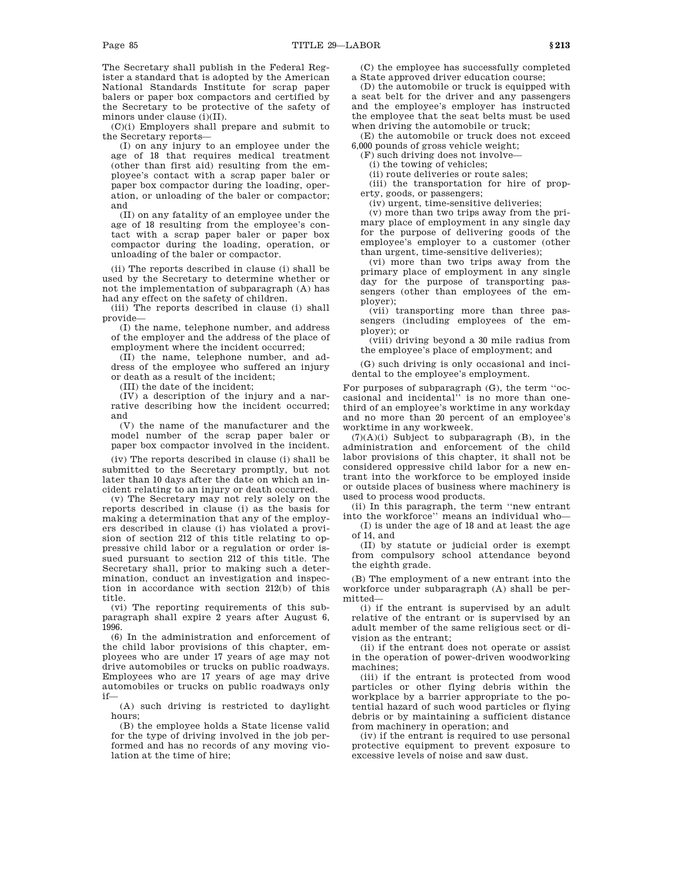The Secretary shall publish in the Federal Register a standard that is adopted by the American National Standards Institute for scrap paper balers or paper box compactors and certified by the Secretary to be protective of the safety of minors under clause (i)(II).

(C)(i) Employers shall prepare and submit to the Secretary reports—

(I) on any injury to an employee under the age of 18 that requires medical treatment (other than first aid) resulting from the employee's contact with a scrap paper baler or paper box compactor during the loading, operation, or unloading of the baler or compactor; and

(II) on any fatality of an employee under the age of 18 resulting from the employee's contact with a scrap paper baler or paper box compactor during the loading, operation, or unloading of the baler or compactor.

(ii) The reports described in clause (i) shall be used by the Secretary to determine whether or not the implementation of subparagraph (A) has had any effect on the safety of children.

(iii) The reports described in clause (i) shall provide—

(I) the name, telephone number, and address of the employer and the address of the place of employment where the incident occurred;

(II) the name, telephone number, and address of the employee who suffered an injury or death as a result of the incident;

(III) the date of the incident;

(IV) a description of the injury and a narrative describing how the incident occurred; and

(V) the name of the manufacturer and the model number of the scrap paper baler or paper box compactor involved in the incident.

(iv) The reports described in clause (i) shall be submitted to the Secretary promptly, but not later than 10 days after the date on which an incident relating to an injury or death occurred.

(v) The Secretary may not rely solely on the reports described in clause (i) as the basis for making a determination that any of the employers described in clause (i) has violated a provision of section 212 of this title relating to oppressive child labor or a regulation or order issued pursuant to section 212 of this title. The Secretary shall, prior to making such a determination, conduct an investigation and inspection in accordance with section 212(b) of this title.

(vi) The reporting requirements of this subparagraph shall expire 2 years after August 6, 1996.

(6) In the administration and enforcement of the child labor provisions of this chapter, employees who are under 17 years of age may not drive automobiles or trucks on public roadways. Employees who are 17 years of age may drive automobiles or trucks on public roadways only if—

(A) such driving is restricted to daylight hours;

(B) the employee holds a State license valid for the type of driving involved in the job performed and has no records of any moving violation at the time of hire;

(C) the employee has successfully completed a State approved driver education course;

(D) the automobile or truck is equipped with a seat belt for the driver and any passengers and the employee's employer has instructed the employee that the seat belts must be used when driving the automobile or truck;

(E) the automobile or truck does not exceed 6,000 pounds of gross vehicle weight;

(F) such driving does not involve—

(i) the towing of vehicles;

(ii) route deliveries or route sales;

(iii) the transportation for hire of property, goods, or passengers;

(iv) urgent, time-sensitive deliveries;

(v) more than two trips away from the primary place of employment in any single day for the purpose of delivering goods of the employee's employer to a customer (other than urgent, time-sensitive deliveries);

(vi) more than two trips away from the primary place of employment in any single day for the purpose of transporting passengers (other than employees of the employer);

(vii) transporting more than three passengers (including employees of the employer); or

(viii) driving beyond a 30 mile radius from the employee's place of employment; and

(G) such driving is only occasional and incidental to the employee's employment.

For purposes of subparagraph (G), the term ''occasional and incidental'' is no more than onethird of an employee's worktime in any workday and no more than 20 percent of an employee's worktime in any workweek.

 $(7)(A)(i)$  Subject to subparagraph  $(B)$ , in the administration and enforcement of the child labor provisions of this chapter, it shall not be considered oppressive child labor for a new entrant into the workforce to be employed inside or outside places of business where machinery is used to process wood products.

(ii) In this paragraph, the term ''new entrant into the workforce'' means an individual who—

(I) is under the age of 18 and at least the age of 14, and

(II) by statute or judicial order is exempt from compulsory school attendance beyond the eighth grade.

(B) The employment of a new entrant into the workforce under subparagraph (A) shall be permitted—

(i) if the entrant is supervised by an adult relative of the entrant or is supervised by an adult member of the same religious sect or division as the entrant;

(ii) if the entrant does not operate or assist in the operation of power-driven woodworking machines;

(iii) if the entrant is protected from wood particles or other flying debris within the workplace by a barrier appropriate to the potential hazard of such wood particles or flying debris or by maintaining a sufficient distance from machinery in operation; and

(iv) if the entrant is required to use personal protective equipment to prevent exposure to excessive levels of noise and saw dust.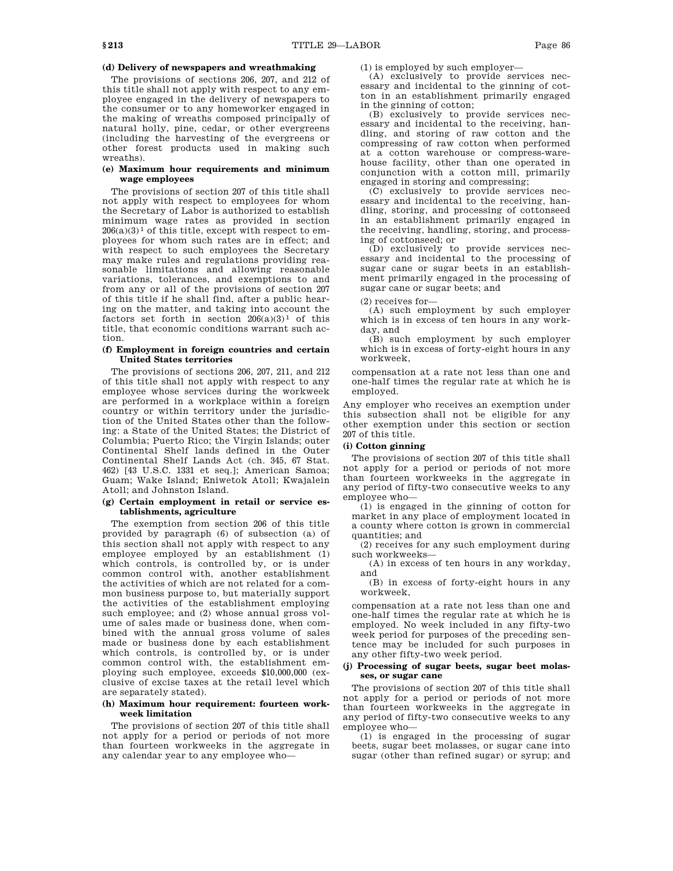# **(d) Delivery of newspapers and wreathmaking**

The provisions of sections 206, 207, and 212 of this title shall not apply with respect to any employee engaged in the delivery of newspapers to the consumer or to any homeworker engaged in the making of wreaths composed principally of natural holly, pine, cedar, or other evergreens (including the harvesting of the evergreens or other forest products used in making such wreaths).

# **(e) Maximum hour requirements and minimum wage employees**

The provisions of section 207 of this title shall not apply with respect to employees for whom the Secretary of Labor is authorized to establish minimum wage rates as provided in section  $206(a)(3)^1$  of this title, except with respect to employees for whom such rates are in effect; and with respect to such employees the Secretary may make rules and regulations providing reasonable limitations and allowing reasonable variations, tolerances, and exemptions to and from any or all of the provisions of section 207 of this title if he shall find, after a public hearing on the matter, and taking into account the factors set forth in section  $206(a)(3)^1$  of this title, that economic conditions warrant such action.

# **(f) Employment in foreign countries and certain United States territories**

The provisions of sections 206, 207, 211, and 212 of this title shall not apply with respect to any employee whose services during the workweek are performed in a workplace within a foreign country or within territory under the jurisdiction of the United States other than the following: a State of the United States; the District of Columbia; Puerto Rico; the Virgin Islands; outer Continental Shelf lands defined in the Outer Continental Shelf Lands Act (ch. 345, 67 Stat. 462) [43 U.S.C. 1331 et seq.]; American Samoa; Guam; Wake Island; Eniwetok Atoll; Kwajalein Atoll; and Johnston Island.

# **(g) Certain employment in retail or service establishments, agriculture**

The exemption from section 206 of this title provided by paragraph (6) of subsection (a) of this section shall not apply with respect to any employee employed by an establishment (1) which controls, is controlled by, or is under common control with, another establishment the activities of which are not related for a common business purpose to, but materially support the activities of the establishment employing such employee; and (2) whose annual gross volume of sales made or business done, when combined with the annual gross volume of sales made or business done by each establishment which controls, is controlled by, or is under common control with, the establishment employing such employee, exceeds \$10,000,000 (exclusive of excise taxes at the retail level which are separately stated).

# **(h) Maximum hour requirement: fourteen workweek limitation**

The provisions of section 207 of this title shall not apply for a period or periods of not more than fourteen workweeks in the aggregate in any calendar year to any employee who(1) is employed by such employer—

(A) exclusively to provide services necessary and incidental to the ginning of cotton in an establishment primarily engaged in the ginning of cotton;

(B) exclusively to provide services necessary and incidental to the receiving, handling, and storing of raw cotton and the compressing of raw cotton when performed at a cotton warehouse or compress-warehouse facility, other than one operated in conjunction with a cotton mill, primarily engaged in storing and compressing;

(C) exclusively to provide services necessary and incidental to the receiving, handling, storing, and processing of cottonseed in an establishment primarily engaged in the receiving, handling, storing, and processing of cottonseed; or

(D) exclusively to provide services necessary and incidental to the processing of sugar cane or sugar beets in an establishment primarily engaged in the processing of sugar cane or sugar beets; and

(2) receives for—

(A) such employment by such employer which is in excess of ten hours in any workday, and

(B) such employment by such employer which is in excess of forty-eight hours in any workweek,

compensation at a rate not less than one and one-half times the regular rate at which he is employed.

Any employer who receives an exemption under this subsection shall not be eligible for any other exemption under this section or section 207 of this title.

# **(i) Cotton ginning**

The provisions of section 207 of this title shall not apply for a period or periods of not more than fourteen workweeks in the aggregate in any period of fifty-two consecutive weeks to any employee who—

(1) is engaged in the ginning of cotton for market in any place of employment located in a county where cotton is grown in commercial quantities; and

(2) receives for any such employment during such workweeks—

(A) in excess of ten hours in any workday, and

(B) in excess of forty-eight hours in any workweek,

compensation at a rate not less than one and one-half times the regular rate at which he is employed. No week included in any fifty-two week period for purposes of the preceding sentence may be included for such purposes in any other fifty-two week period.

# **(j) Processing of sugar beets, sugar beet molasses, or sugar cane**

The provisions of section 207 of this title shall not apply for a period or periods of not more than fourteen workweeks in the aggregate in any period of fifty-two consecutive weeks to any employee who—

(1) is engaged in the processing of sugar beets, sugar beet molasses, or sugar cane into sugar (other than refined sugar) or syrup; and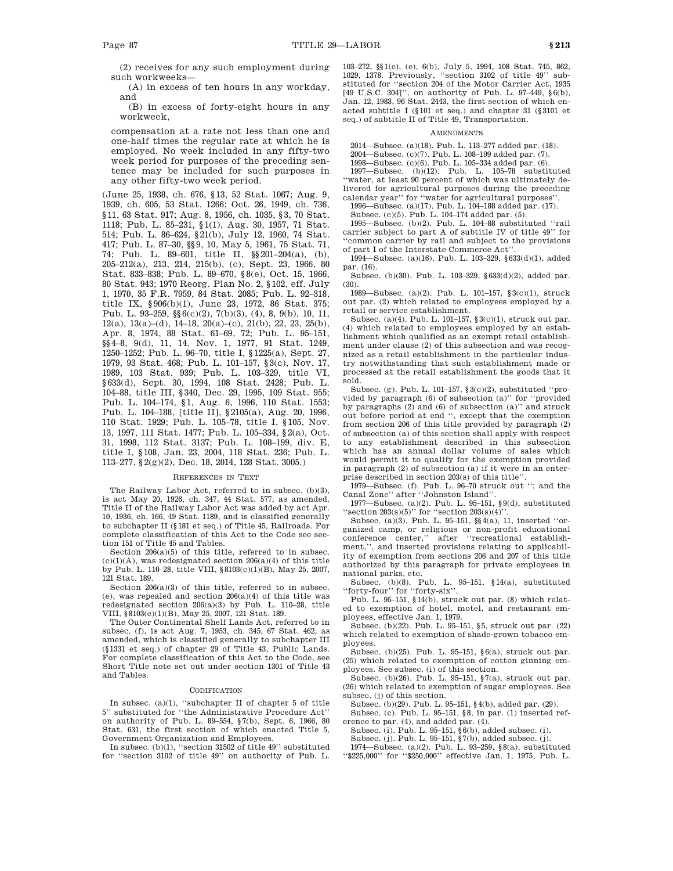(2) receives for any such employment during such workweeks—

(A) in excess of ten hours in any workday, and

(B) in excess of forty-eight hours in any workweek,

compensation at a rate not less than one and one-half times the regular rate at which he is employed. No week included in any fifty-two week period for purposes of the preceding sentence may be included for such purposes in any other fifty-two week period.

(June 25, 1938, ch. 676, §13, 52 Stat. 1067; Aug. 9, 1939, ch. 605, 53 Stat. 1266; Oct. 26, 1949, ch. 736, §11, 63 Stat. 917; Aug. 8, 1956, ch. 1035, §3, 70 Stat. 1118; Pub. L. 85–231, §1(1), Aug. 30, 1957, 71 Stat. 514; Pub. L. 86–624, §21(b), July 12, 1960, 74 Stat. 417; Pub. L. 87–30, §§9, 10, May 5, 1961, 75 Stat. 71, 74; Pub. L. 89–601, title II, §§201–204(a), (b), 205–212(a), 213, 214, 215(b), (c), Sept. 23, 1966, 80 Stat. 833–838; Pub. L. 89–670, §8(e), Oct. 15, 1966, 80 Stat. 943; 1970 Reorg. Plan No. 2, §102, eff. July 1, 1970, 35 F.R. 7959, 84 Stat. 2085; Pub. L. 92–318, title IX, §906(b)(1), June 23, 1972, 86 Stat. 375; Pub. L. 93–259, §§6(c)(2), 7(b)(3), (4), 8, 9(b), 10, 11, 12(a), 13(a)–(d), 14–18, 20(a)–(c), 21(b), 22, 23, 25(b), Apr. 8, 1974, 88 Stat. 61–69, 72; Pub. L. 95–151, §§4–8, 9(d), 11, 14, Nov. 1, 1977, 91 Stat. 1249, 1250–1252; Pub. L. 96–70, title I, §1225(a), Sept. 27, 1979, 93 Stat. 468; Pub. L. 101–157, §3(c), Nov. 17, 1989, 103 Stat. 939; Pub. L. 103–329, title VI, §633(d), Sept. 30, 1994, 108 Stat. 2428; Pub. L. 104–88, title III, §340, Dec. 29, 1995, 109 Stat. 955; Pub. L. 104–174, §1, Aug. 6, 1996, 110 Stat. 1553; Pub. L. 104–188, [title II], §2105(a), Aug. 20, 1996, 110 Stat. 1929; Pub. L. 105–78, title I, §105, Nov. 13, 1997, 111 Stat. 1477; Pub. L. 105–334, §2(a), Oct. 31, 1998, 112 Stat. 3137; Pub. L. 108–199, div. E, title I, §108, Jan. 23, 2004, 118 Stat. 236; Pub. L. 113–277, §2(g)(2), Dec. 18, 2014, 128 Stat. 3005.)

# REFERENCES IN TEXT

The Railway Labor Act, referred to in subsec. (b)(3), is act May 20, 1926, ch. 347, 44 Stat. 577, as amended. Title II of the Railway Labor Act was added by act Apr. 10, 1936, ch. 166, 49 Stat. 1189, and is classified generally to subchapter II (§181 et seq.) of Title 45, Railroads. For complete classification of this Act to the Code see section 151 of Title 45 and Tables.

Section 206(a)(5) of this title, referred to in subsec.  $(c)(1)(A)$ , was redesignated section 206(a)(4) of this title by Pub. L. 110–28, title VIII, §8103(c)(1)(B), May 25, 2007, 121 Stat. 189.

Section 206(a)(3) of this title, referred to in subsec. (e), was repealed and section 206(a)(4) of this title was redesignated section 206(a)(3) by Pub. L. 110–28, title VIII, §8103(c)(1)(B), May 25, 2007, 121 Stat. 189.

The Outer Continental Shelf Lands Act, referred to in subsec. (f), is act Aug. 7, 1953, ch. 345, 67 Stat. 462, as amended, which is classified generally to subchapter III (§1331 et seq.) of chapter 29 of Title 43, Public Lands. For complete classification of this Act to the Code, see Short Title note set out under section 1301 of Title 43 and Tables.

## CODIFICATION

In subsec. (a)(1), ''subchapter II of chapter 5 of title 5'' substituted for ''the Administrative Procedure Act'' on authority of Pub. L. 89–554, §7(b), Sept. 6, 1966, 80 Stat. 631, the first section of which enacted Title 5, Government Organization and Employees.

In subsec. (b)(1), ''section 31502 of title 49'' substituted for ''section 3102 of title 49'' on authority of Pub. L. 103–272, §§1(c), (e), 6(b), July 5, 1994, 108 Stat. 745, 862, 1029, 1378. Previously, ''section 3102 of title 49'' substituted for ''section 204 of the Motor Carrier Act, 1935 [49 U.S.C. 304]'', on authority of Pub. L. 97–449, §6(b), Jan. 12, 1983, 96 Stat. 2443, the first section of which enacted subtitle I (§101 et seq.) and chapter 31 (§3101 et seq.) of subtitle II of Title 49, Transportation.

#### AMENDMENTS

2014—Subsec. (a)(18). Pub. L. 113–277 added par. (18).

2004—Subsec. (c)(7). Pub. L. 108–199 added par. (7).

1998—Subsec. (c)(6). Pub. L. 105–334 added par. (6).

1997—Subsec. (b)(12). Pub. L. 105–78 substituted ''water, at least 90 percent of which was ultimately delivered for agricultural purposes during the preceding calendar year'' for ''water for agricultural purposes''.

1996—Subsec. (a)(17). Pub. L. 104–188 added par. (17).

Subsec. (c)(5). Pub. L. 104–174 added par. (5).

1995—Subsec. (b)(2). Pub. L. 104–88 substituted ''rail carrier subject to part A of subtitle IV of title 49'' for ''common carrier by rail and subject to the provisions of part I of the Interstate Commerce Act''.

1994—Subsec. (a)(16). Pub. L. 103–329, §633(d)(1), added par. (16).

Subsec. (b)(30). Pub. L. 103–329, §633(d)(2), added par. (30).

1989—Subsec. (a)(2). Pub. L. 101–157, §3(c)(1), struck out par. (2) which related to employees employed by a retail or service establishment.

Subsec. (a)(4). Pub. L. 101–157, §3(c)(1), struck out par. (4) which related to employees employed by an establishment which qualified as an exempt retail establishment under clause (2) of this subsection and was recognized as a retail establishment in the particular industry notwithstanding that such establishment made or processed at the retail establishment the goods that it sold.

Subsec. (g). Pub. L. 101–157, §3(c)(2), substituted ''provided by paragraph (6) of subsection (a)'' for ''provided by paragraphs (2) and (6) of subsection (a)'' and struck out before period at end '', except that the exemption from section 206 of this title provided by paragraph (2) of subsection (a) of this section shall apply with respect to any establishment described in this subsection which has an annual dollar volume of sales which would permit it to qualify for the exemption provided in paragraph (2) of subsection (a) if it were in an enterprise described in section 203(s) of this title''.

1979—Subsec. (f). Pub. L. 96–70 struck out ''; and the Canal Zone'' after ''Johnston Island''.

1977—Subsec. (a)(2). Pub. L. 95–151, §9(d), substituted  $\text{`section 203(s)(5)''}$  for  $\text{`section 203(s)(4)}'$ 

Subsec. (a)(3). Pub. L. 95–151, §§4(a), 11, inserted ''organized camp, or religious or non-profit educational conference center,'' after ''recreational establishment,'', and inserted provisions relating to applicability of exemption from sections 206 and 207 of this title authorized by this paragraph for private employees in

national parks, etc. Subsec. (b)(8). Pub. L. 95–151, §14(a), substituted ''forty-four'' for ''forty-six''.

Pub. L. 95–151, §14(b), struck out par. (8) which related to exemption of hotel, motel, and restaurant employees, effective Jan. 1, 1979.

Subsec. (b)(22). Pub. L. 95–151, §5, struck out par. (22) which related to exemption of shade-grown tobacco employees.

Subsec. (b)(25). Pub. L. 95–151, §6(a), struck out par. (25) which related to exemption of cotton ginning employees. See subsec. (i) of this section.

Subsec. (b)(26). Pub. L. 95–151, §7(a), struck out par. (26) which related to exemption of sugar employees. See subsec. (j) of this section. Subsec. (b)(29). Pub. L. 95–151, §4(b), added par. (29).

Subsec. (c). Pub. L. 95–151, §8, in par. (1) inserted reference to par. (4), and added par. (4).

Subsec. (i). Pub. L. 95–151, §6(b), added subsec. (i).

Subsec. (j). Pub. L. 95–151, §7(b), added subsec. (j). 1974—Subsec. (a)(2). Pub. L. 93–259, §8(a), substituted

''\$225,000'' for ''\$250,000'' effective Jan. 1, 1975, Pub. L.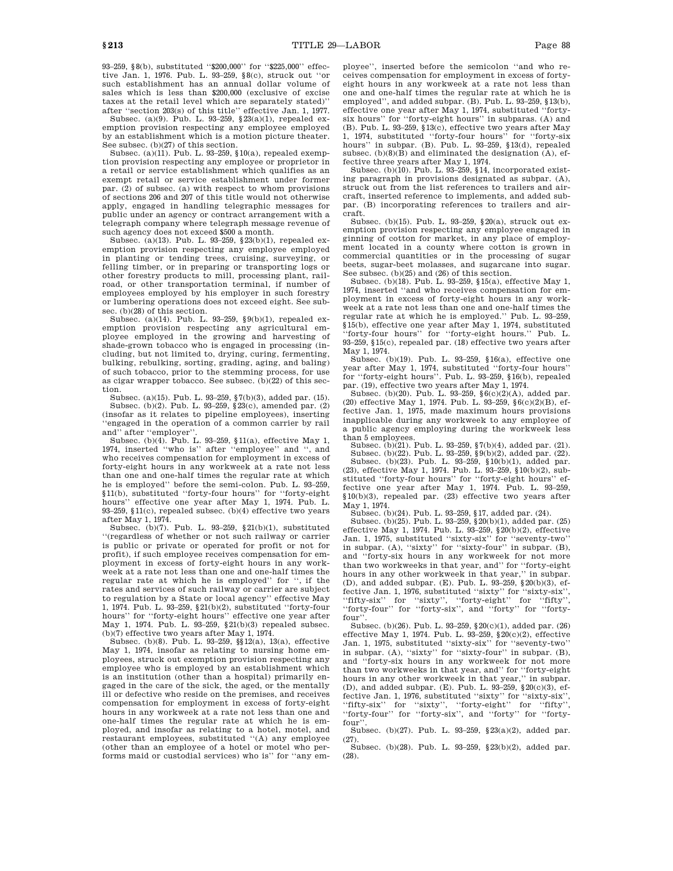93–259, §8(b), substituted ''\$200,000'' for ''\$225,000'' effective Jan. 1, 1976. Pub. L. 93–259, §8(c), struck out ''or such establishment has an annual dollar volume of sales which is less than \$200,000 (exclusive of excise taxes at the retail level which are separately stated)'' after ''section 203(s) of this title'' effective Jan. 1, 1977.

Subsec. (a)(9). Pub. L. 93–259, §23(a)(1), repealed exemption provision respecting any employee employed by an establishment which is a motion picture theater. See subsec. (b)(27) of this section.

Subsec. (a)(11). Pub. L. 93–259, §10(a), repealed exemption provision respecting any employee or proprietor in a retail or service establishment which qualifies as an exempt retail or service establishment under former par. (2) of subsec. (a) with respect to whom provisions of sections 206 and 207 of this title would not otherwise apply, engaged in handling telegraphic messages for public under an agency or contract arrangement with a telegraph company where telegraph message revenue of such agency does not exceed \$500 a month.

Subsec. (a)(13). Pub. L. 93–259, §23(b)(1), repealed exemption provision respecting any employee employed in planting or tending trees, cruising, surveying, or felling timber, or in preparing or transporting logs or other forestry products to mill, processing plant, railroad, or other transportation terminal, if number of employees employed by his employer in such forestry or lumbering operations does not exceed eight. See subsec. (b)(28) of this section.

Subsec. (a)(14). Pub. L. 93–259, §9(b)(1), repealed exemption provision respecting any agricultural employee employed in the growing and harvesting of shade-grown tobacco who is engaged in processing (including, but not limited to, drying, curing, fermenting, bulking, rebulking, sorting, grading, aging, and baling) of such tobacco, prior to the stemming process, for use as cigar wrapper tobacco. See subsec. (b)(22) of this section.

Subsec. (a)(15). Pub. L. 93–259, §7(b)(3), added par. (15). Subsec. (b)(2). Pub. L. 93–259, §23(c), amended par. (2) (insofar as it relates to pipeline employees), inserting 'engaged in the operation of a common carrier by rail and'' after ''employer''.

Subsec. (b)(4). Pub. L. 93–259, §11(a), effective May 1, 1974, inserted ''who is'' after ''employee'' and '', and who receives compensation for employment in excess of forty-eight hours in any workweek at a rate not less than one and one-half times the regular rate at which he is employed'' before the semi-colon. Pub. L. 93–259, §11(b), substituted ''forty-four hours'' for ''forty-eight hours'' effective one year after May 1, 1974. Pub. L. 93–259, §11(c), repealed subsec. (b)(4) effective two years after May 1, 1974.

Subsec. (b)(7). Pub. L. 93–259, §21(b)(1), substituted ''(regardless of whether or not such railway or carrier is public or private or operated for profit or not for profit), if such employee receives compensation for employment in excess of forty-eight hours in any workweek at a rate not less than one and one-half times the regular rate at which he is employed'' for '', if the rates and services of such railway or carrier are subject to regulation by a State or local agency'' effective May 1, 1974. Pub. L. 93–259, §21(b)(2), substituted ''forty-four hours'' for ''forty-eight hours'' effective one year after May 1, 1974. Pub. L. 93–259, §21(b)(3) repealed subsec. (b)(7) effective two years after May 1, 1974.

Subsec. (b)(8). Pub. L. 93–259,  $\S$ 12(a), 13(a), effective May 1, 1974, insofar as relating to nursing home employees, struck out exemption provision respecting any employee who is employed by an establishment which is an institution (other than a hospital) primarily engaged in the care of the sick, the aged, or the mentally ill or defective who reside on the premises, and receives compensation for employment in excess of forty-eight hours in any workweek at a rate not less than one and one-half times the regular rate at which he is employed, and insofar as relating to a hotel, motel, and restaurant employees, substituted ''(A) any employee (other than an employee of a hotel or motel who performs maid or custodial services) who is'' for ''any employee'', inserted before the semicolon ''and who receives compensation for employment in excess of fortyeight hours in any workweek at a rate not less than one and one-half times the regular rate at which he is employed'', and added subpar. (B). Pub. L. 93–259, §13(b), effective one year after May 1, 1974, substituted ''fortysix hours'' for ''forty-eight hours'' in subparas. (A) and (B). Pub. L. 93–259, §13(c), effective two years after May 1, 1974, substituted ''forty-four hours'' for ''forty-six hours'' in subpar. (B). Pub. L. 93–259, §13(d), repealed subsec.  $(b)(8)(B)$  and eliminated the designation  $(A)$ , ef-

fective three years after May 1, 1974. Subsec. (b)(10). Pub. L. 93–259, §14, incorporated existing paragraph in provisions designated as subpar. (A), struck out from the list references to trailers and aircraft, inserted reference to implements, and added subpar. (B) incorporating references to trailers and aircraft.

Subsec. (b)(15). Pub. L. 93–259, §20(a), struck out exemption provision respecting any employee engaged in ginning of cotton for market, in any place of employment located in a county where cotton is grown in commercial quantities or in the processing of sugar beets, sugar-beet molasses, and sugarcane into sugar. See subsec. (b)(25) and (26) of this section.

Subsec. (b)(18). Pub. L. 93–259, §15(a), effective May 1, 1974, inserted ''and who receives compensation for employment in excess of forty-eight hours in any workweek at a rate not less than one and one-half times the regular rate at which he is employed.'' Pub. L. 93–259, §15(b), effective one year after May 1, 1974, substituted ''forty-four hours'' for ''forty-eight hours.'' Pub. L. 93–259, §15(c), repealed par. (18) effective two years after May 1, 1974.

Subsec. (b)(19). Pub. L. 93–259, §16(a), effective one year after May 1, 1974, substituted ''forty-four hours'' for ''forty-eight hours''. Pub. L. 93–259, §16(b), repealed par. (19), effective two years after May 1, 1974.

Subsec. (b)(20). Pub. L. 93–259, §6(c)(2)(A), added par. (20) effective May 1, 1974. Pub. L. 93–259, §6(c)(2)(B), effective Jan. 1, 1975, made maximum hours provisions inapplicable during any workweek to any employee of a public agency employing during the workweek less than 5 employees.

Subsec. (b)(21). Pub. L. 93–259, §7(b)(4), added par. (21). Subsec. (b)(22). Pub. L. 93–259, §9(b)(2), added par. (22). Subsec. (b)(23). Pub. L. 93–259, §10(b)(1), added par.

(23), effective May 1, 1974. Pub. L. 93–259, §10(b)(2), substituted ''forty-four hours'' for ''forty-eight hours'' effective one year after May 1, 1974. Pub. L. 93–259, §10(b)(3), repealed par. (23) effective two years after May 1, 1974.

Subsec. (b)(24). Pub. L. 93–259, §17, added par. (24). Subsec. (b)(25). Pub. L. 93–259, §20(b)(1), added par. (25) effective May 1, 1974. Pub. L. 93–259, §20(b)(2), effective Jan. 1, 1975, substituted ''sixty-six'' for ''seventy-two'' in subpar. (A), ''sixty'' for ''sixty-four'' in subpar. (B), and ''forty-six hours in any workweek for not more than two workweeks in that year, and'' for ''forty-eight hours in any other workweek in that year,'' in subpar. (D), and added subpar. (E). Pub. L. 93–259, §20(b)(3), effective Jan. 1, 1976, substituted ''sixty'' for ''sixty-six'', ''fifty-six'' for ''sixty'', ''forty-eight'' for ''fifty'', ''forty-four'' for ''forty-six'', and ''forty'' for ''fortyfour''.

Subsec. (b)(26). Pub. L. 93–259, §20(c)(1), added par. (26) effective May 1, 1974. Pub. L. 93–259, §20(c)(2), effective Jan. 1, 1975, substituted ''sixty-six'' for ''seventy-two'' in subpar. (A), ''sixty'' for ''sixty-four'' in subpar. (B), and ''forty-six hours in any workweek for not more than two workweeks in that year, and'' for ''forty-eight hours in any other workweek in that year,'' in subpar. (D), and added subpar. (E). Pub. L. 93–259, §20(c)(3), effective Jan. 1, 1976, substituted ''sixty'' for ''sixty-six'', ''fifty-six'' for ''sixty'', ''forty-eight'' for ''fifty'', ''forty-four'' for ''forty-six'', and ''forty'' for ''fortyfour''.

Subsec. (b)(27). Pub. L. 93–259, §23(a)(2), added par. (27).

Subsec. (b)(28). Pub. L. 93–259, §23(b)(2), added par. (28).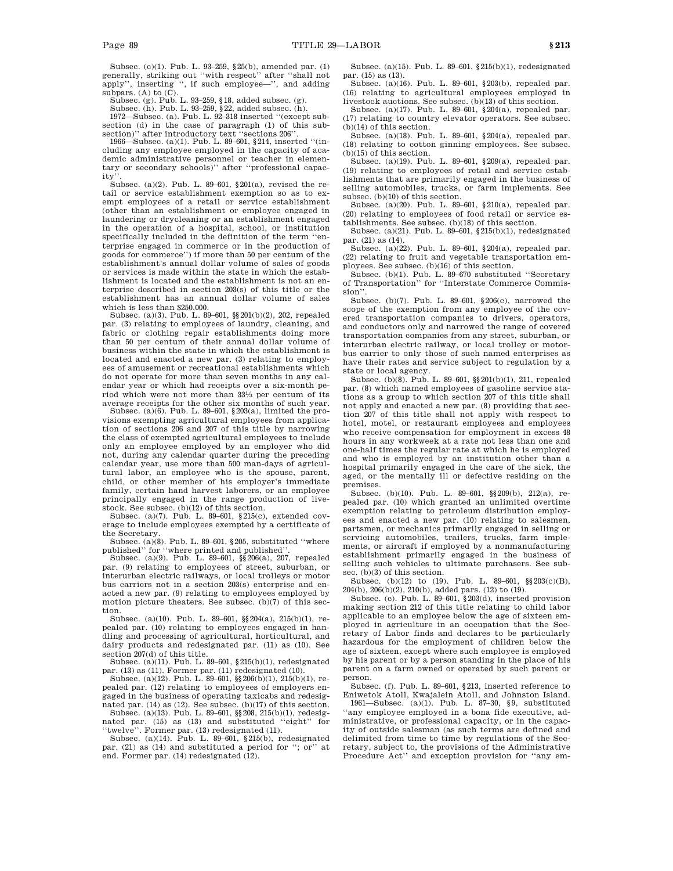Subsec. (c)(1). Pub. L. 93–259, §25(b), amended par. (1) generally, striking out ''with respect'' after ''shall not apply'', inserting '', if such employee—'', and adding subpars. (A) to (C).

Subsec. (g). Pub. L. 93–259, §18, added subsec. (g).

Subsec. (h). Pub. L. 93–259, §22, added subsec. (h). 1972—Subsec. (a). Pub. L. 92–318 inserted ''(except sub-

section (d) in the case of paragraph (1) of this subsection)" after introductory text "sections 206".<br>1966—Subsec. (a)(1). Pub. L. 89–601, §214, inserted "(in-

cluding any employee employed in the capacity of academic administrative personnel or teacher in elementary or secondary schools)'' after ''professional capacity

Subsec. (a)(2). Pub. L. 89–601, §201(a), revised the retail or service establishment exemption so as to exempt employees of a retail or service establishment (other than an establishment or employee engaged in laundering or drycleaning or an establishment engaged in the operation of a hospital, school, or institution specifically included in the definition of the term ''enterprise engaged in commerce or in the production of goods for commerce'') if more than 50 per centum of the establishment's annual dollar volume of sales of goods or services is made within the state in which the establishment is located and the establishment is not an enterprise described in section 203(s) of this title or the establishment has an annual dollar volume of sales which is less than \$250,000.

Subsec. (a)(3). Pub. L. 89–601, §§201(b)(2), 202, repealed par. (3) relating to employees of laundry, cleaning, and fabric or clothing repair establishments doing more than 50 per centum of their annual dollar volume of business within the state in which the establishment is located and enacted a new par. (3) relating to employees of amusement or recreational establishments which do not operate for more than seven months in any calendar year or which had receipts over a six-month period which were not more than 331 ⁄3 per centum of its average receipts for the other six months of such year.

Subsec. (a)(6). Pub. L. 89–601, §203(a), limited the provisions exempting agricultural employees from application of sections 206 and 207 of this title by narrowing the class of exempted agricultural employees to include only an employee employed by an employer who did not, during any calendar quarter during the preceding calendar year, use more than 500 man-days of agricultural labor, an employee who is the spouse, parent, child, or other member of his employer's immediate family, certain hand harvest laborers, or an employee principally engaged in the range production of livestock. See subsec. (b)(12) of this section.

Subsec. (a)(7). Pub. L. 89–601, §215(c), extended coverage to include employees exempted by a certificate of the Secretary.

Subsec. (a)(8). Pub. L. 89–601, §205, substituted ''where published'' for ''where printed and published''.

Subsec. (a)(9). Pub. L. 89–601, §§206(a), 207, repealed par. (9) relating to employees of street, suburban, or interurban electric railways, or local trolleys or motor bus carriers not in a section 203(s) enterprise and enacted a new par. (9) relating to employees employed by motion picture theaters. See subsec. (b)(7) of this section.

Subsec. (a)(10). Pub. L. 89–601, §§204(a), 215(b)(1), repealed par. (10) relating to employees engaged in handling and processing of agricultural, horticultural, and dairy products and redesignated par. (11) as (10). See section 207(d) of this title.

Subsec. (a)(11). Pub. L. 89–601, §215(b)(1), redesignated par. (13) as (11). Former par. (11) redesignated (10). Subsec. (a)(12). Pub. L. 89–601, §§206(b)(1), 215(b)(1), re-

pealed par. (12) relating to employees of employers engaged in the business of operating taxicabs and redesignated par. (14) as (12). See subsec. (b)(17) of this section.

Subsec. (a)(13). Pub. L. 89–601, §§208, 215(b)(1), redesignated par. (15) as (13) and substituted ''eight'' for ''twelve''. Former par. (13) redesignated (11).

Subsec. (a)(14). Pub. L. 89–601, §215(b), redesignated par. (21) as (14) and substituted a period for ''; or'' at end. Former par. (14) redesignated (12).

Subsec. (a)(15). Pub. L. 89–601, §215(b)(1), redesignated par. (15) as (13).

Subsec. (a)(16). Pub. L. 89–601, §203(b), repealed par. (16) relating to agricultural employees employed in livestock auctions. See subsec. (b)(13) of this section.

Subsec. (a)(17). Pub. L. 89–601, §204(a), repealed par. (17) relating to country elevator operators. See subsec. (b)(14) of this section.

Subsec. (a)(18). Pub. L. 89–601, §204(a), repealed par. (18) relating to cotton ginning employees. See subsec. (b)(15) of this section.

Subsec. (a)(19). Pub. L. 89–601, §209(a), repealed par. (19) relating to employees of retail and service establishments that are primarily engaged in the business of selling automobiles, trucks, or farm implements. See subsec. (b)(10) of this section.

Subsec. (a)(20). Pub. L. 89–601, §210(a), repealed par. (20) relating to employees of food retail or service establishments. See subsec. (b)(18) of this section.

Subsec. (a)(21). Pub. L. 89–601, §215(b)(1), redesignated par. (21) as (14).

Subsec. (a)(22). Pub. L. 89–601, §204(a), repealed par. (22) relating to fruit and vegetable transportation employees. See subsec. (b)(16) of this section.

Subsec. (b)(1). Pub. L. 89–670 substituted ''Secretary of Transportation'' for ''Interstate Commerce Commission''.

Subsec. (b)(7). Pub. L. 89–601, §206(c), narrowed the scope of the exemption from any employee of the covered transportation companies to drivers, operators, and conductors only and narrowed the range of covered transportation companies from any street, suburban, or interurban electric railway, or local trolley or motorbus carrier to only those of such named enterprises as have their rates and service subject to regulation by a state or local agency.

Subsec. (b)(8). Pub. L. 89–601, §§201(b)(1), 211, repealed par. (8) which named employees of gasoline service stations as a group to which section 207 of this title shall not apply and enacted a new par. (8) providing that section 207 of this title shall not apply with respect to hotel, motel, or restaurant employees and employees who receive compensation for employment in excess 48 hours in any workweek at a rate not less than one and one-half times the regular rate at which he is employed and who is employed by an institution other than a hospital primarily engaged in the care of the sick, the aged, or the mentally ill or defective residing on the premises.

Subsec. (b)(10). Pub. L. 89–601, §§209(b), 212(a), repealed par. (10) which granted an unlimited overtime exemption relating to petroleum distribution employees and enacted a new par. (10) relating to salesmen, partsmen, or mechanics primarily engaged in selling or servicing automobiles, trailers, trucks, farm implements, or aircraft if employed by a nonmanufacturing establishment primarily engaged in the business of selling such vehicles to ultimate purchasers. See subsec. (b)(3) of this section.

Subsec. (b)(12) to (19). Pub. L. 89–601,  $\S 203(c)(B)$ , 204(b), 206(b)(2), 210(b), added pars. (12) to (19).

Subsec. (c). Pub. L. 89–601, §203(d), inserted provision making section 212 of this title relating to child labor applicable to an employee below the age of sixteen employed in agriculture in an occupation that the Secretary of Labor finds and declares to be particularly hazardous for the employment of children below the age of sixteen, except where such employee is employed by his parent or by a person standing in the place of his parent on a farm owned or operated by such parent or person.

Subsec. (f). Pub. L. 89–601, §213, inserted reference to Eniwetok Atoll, Kwajalein Atoll, and Johnston Island.

1961—Subsec. (a)(1). Pub. L. 87–30, §9, substituted ''any employee employed in a bona fide executive, administrative, or professional capacity, or in the capacity of outside salesman (as such terms are defined and delimited from time to time by regulations of the Secretary, subject to, the provisions of the Administrative Procedure Act'' and exception provision for ''any em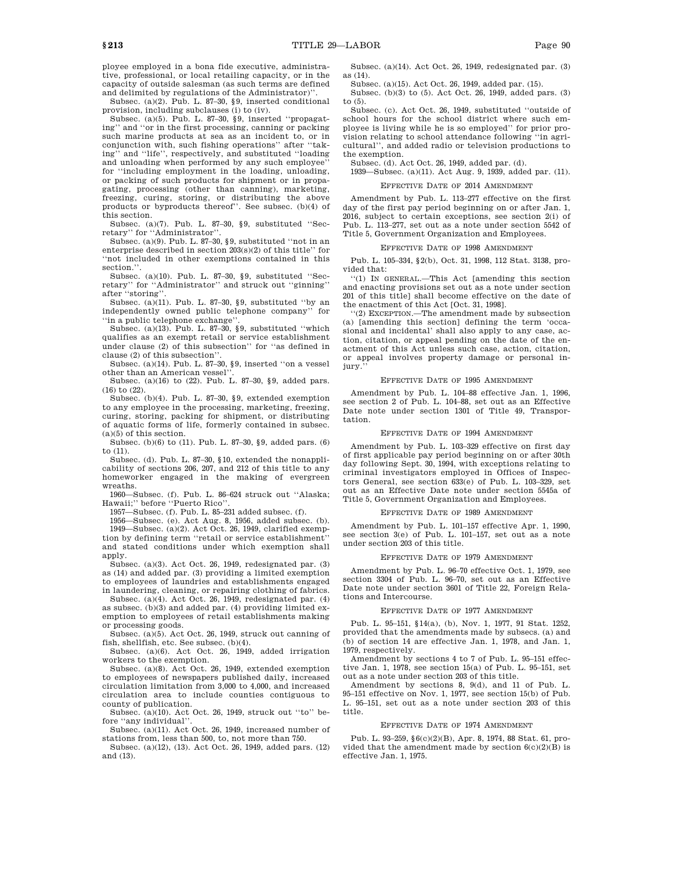ployee employed in a bona fide executive, administrative, professional, or local retailing capacity, or in the capacity of outside salesman (as such terms are defined and delimited by regulations of the Administrator)''.

Subsec. (a)(2). Pub. L. 87–30, §9, inserted conditional provision, including subclauses (i) to (iv).

Subsec. (a)(5). Pub. L. 87–30, §9, inserted ''propagating'' and ''or in the first processing, canning or packing such marine products at sea as an incident to, or in conjunction with, such fishing operations'' after ''taking'' and ''life'', respectively, and substituted ''loading and unloading when performed by any such employee'' for ''including employment in the loading, unloading, or packing of such products for shipment or in propagating, processing (other than canning), marketing, freezing, curing, storing, or distributing the above products or byproducts thereof''. See subsec. (b)(4) of this section.

Subsec. (a)(7). Pub. L. 87–30, §9, substituted ''Secretary'' for ''Administrator''.

Subsec. (a)(9). Pub. L. 87–30, §9, substituted ''not in an enterprise described in section 203(s)(2) of this title'' for ''not included in other exemptions contained in this section.''.

Subsec. (a)(10). Pub. L. 87–30, §9, substituted ''Secretary'' for ''Administrator'' and struck out ''ginning'' after ''storing''.

Subsec. (a) $(11)$ . Pub. L. 87-30, §9, substituted "by an independently owned public telephone company'' for 'in a public telephone exchange'

Subsec. (a)(13). Pub. L. 87–30, §9, substituted ''which qualifies as an exempt retail or service establishment under clause (2) of this subsection'' for ''as defined in clause (2) of this subsection''.

Subsec. (a)(14). Pub. L.  $87-30$ ,  $9$ , inserted "on a vessel other than an American vessel''.

Subsec. (a)(16) to (22). Pub. L. 87–30, §9, added pars. (16) to (22).

Subsec. (b)(4). Pub. L. 87–30, §9, extended exemption to any employee in the processing, marketing, freezing, curing, storing, packing for shipment, or distributing of aquatic forms of life, formerly contained in subsec.  $(a)(5)$  of this section.

Subsec. (b)(6) to (11). Pub. L. 87–30, §9, added pars. (6) to (11).

Subsec. (d). Pub. L. 87–30, §10, extended the nonapplicability of sections 206, 207, and 212 of this title to any homeworker engaged in the making of evergreen wreaths.

1960—Subsec. (f). Pub. L. 86–624 struck out ''Alaska; Hawaii;'' before ''Puerto Rico''.

1957—Subsec. (f). Pub. L. 85–231 added subsec. (f). 1956—Subsec. (e). Act Aug. 8, 1956, added subsec. (b).

1949—Subsec. (a)(2). Act Oct. 26, 1949, clarified exemption by defining term ''retail or service establishment'' and stated conditions under which exemption shall apply.

Subsec. (a)(3). Act Oct. 26, 1949, redesignated par. (3) as (14) and added par. (3) providing a limited exemption to employees of laundries and establishments engaged in laundering, cleaning, or repairing clothing of fabrics.

Subsec. (a)(4). Act Oct. 26, 1949, redesignated par. (4) as subsec. (b)(3) and added par. (4) providing limited exemption to employees of retail establishments making or processing goods.

Subsec. (a)(5). Act Oct. 26, 1949, struck out canning of fish, shellfish, etc. See subsec. (b)(4).

Subsec. (a)(6). Act Oct. 26, 1949, added irrigation workers to the exemption.

Subsec. (a)(8). Act Oct. 26, 1949, extended exemption to employees of newspapers published daily, increased circulation limitation from 3,000 to 4,000, and increased circulation area to include counties contiguous to county of publication.

Subsec. (a)(10). Act Oct. 26, 1949, struck out ''to'' before ''any individual''.

Subsec. (a)(11). Act Oct. 26, 1949, increased number of stations from, less than 500, to, not more than 750.

Subsec. (a)(12), (13). Act Oct. 26, 1949, added pars. (12) and (13).

Subsec. (a)(14). Act Oct. 26, 1949, redesignated par. (3) as (14).

Subsec. (a)(15). Act Oct. 26, 1949, added par. (15).

Subsec. (b)(3) to (5). Act Oct. 26, 1949, added pars. (3) to (5).

Subsec. (c). Act Oct. 26, 1949, substituted ''outside of school hours for the school district where such employee is living while he is so employed'' for prior provision relating to school attendance following ''in agricultural'', and added radio or television productions to the exemption.

Subsec. (d). Act Oct. 26, 1949, added par. (d).

1939—Subsec. (a)(11). Act Aug. 9, 1939, added par. (11).

# EFFECTIVE DATE OF 2014 AMENDMENT

Amendment by Pub. L. 113–277 effective on the first day of the first pay period beginning on or after Jan. 1, 2016, subject to certain exceptions, see section 2(i) of Pub. L. 113–277, set out as a note under section 5542 of Title 5, Government Organization and Employees.

# EFFECTIVE DATE OF 1998 AMENDMENT

Pub. L. 105–334, §2(b), Oct. 31, 1998, 112 Stat. 3138, provided that:

''(1) IN GENERAL.—This Act [amending this section and enacting provisions set out as a note under section 201 of this title] shall become effective on the date of the enactment of this Act [Oct. 31, 1998].

''(2) EXCEPTION.—The amendment made by subsection (a) [amending this section] defining the term 'occasional and incidental' shall also apply to any case, action, citation, or appeal pending on the date of the enactment of this Act unless such case, action, citation, or appeal involves property damage or personal injury.

# EFFECTIVE DATE OF 1995 AMENDMENT

Amendment by Pub. L. 104–88 effective Jan. 1, 1996, see section 2 of Pub. L. 104–88, set out as an Effective Date note under section 1301 of Title 49, Transportation.

#### EFFECTIVE DATE OF 1994 AMENDMENT

Amendment by Pub. L. 103–329 effective on first day of first applicable pay period beginning on or after 30th day following Sept. 30, 1994, with exceptions relating to criminal investigators employed in Offices of Inspectors General, see section 633(e) of Pub. L. 103–329, set out as an Effective Date note under section 5545a of Title 5, Government Organization and Employees.

#### EFFECTIVE DATE OF 1989 AMENDMENT

Amendment by Pub. L. 101–157 effective Apr. 1, 1990, see section 3(e) of Pub. L. 101-157, set out as a note under section 203 of this title.

#### EFFECTIVE DATE OF 1979 AMENDMENT

Amendment by Pub. L. 96–70 effective Oct. 1, 1979, see section 3304 of Pub. L. 96–70, set out as an Effective Date note under section 3601 of Title 22, Foreign Relations and Intercourse.

## EFFECTIVE DATE OF 1977 AMENDMENT

Pub. L. 95–151, §14(a), (b), Nov. 1, 1977, 91 Stat. 1252, provided that the amendments made by subsecs. (a) and (b) of section 14 are effective Jan. 1, 1978, and Jan. 1, 1979, respectively.

Amendment by sections 4 to 7 of Pub. L. 95–151 effective Jan. 1, 1978, see section 15(a) of Pub. L. 95–151, set out as a note under section 203 of this title.

Amendment by sections 8, 9(d), and 11 of Pub. L. 95–151 effective on Nov. 1, 1977, see section 15(b) of Pub. L. 95–151, set out as a note under section 203 of this title.

## EFFECTIVE DATE OF 1974 AMENDMENT

Pub. L. 93–259, §6(c)(2)(B), Apr. 8, 1974, 88 Stat. 61, provided that the amendment made by section 6(c)(2)(B) is effective Jan. 1, 1975.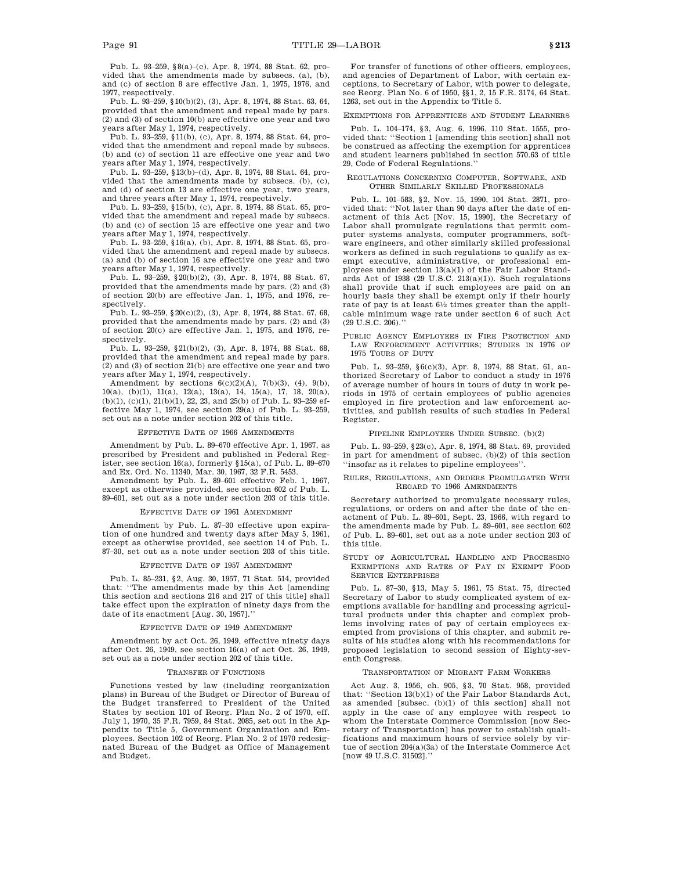Pub. L. 93–259, §8(a)–(c), Apr. 8, 1974, 88 Stat. 62, provided that the amendments made by subsecs. (a), (b), and (c) of section 8 are effective Jan. 1, 1975, 1976, and 1977, respectively.

Pub. L. 93–259, §10(b)(2), (3), Apr. 8, 1974, 88 Stat. 63, 64, provided that the amendment and repeal made by pars.  $(2)$  and  $(3)$  of section 10(b) are effective one year and two years after May 1, 1974, respectively.

Pub. L. 93–259, §11(b), (c), Apr. 8, 1974, 88 Stat. 64, provided that the amendment and repeal made by subsecs. (b) and (c) of section 11 are effective one year and two years after May 1, 1974, respectively.

Pub. L. 93–259, §13(b)–(d), Apr. 8, 1974, 88 Stat. 64, provided that the amendments made by subsecs. (b), (c), and (d) of section 13 are effective one year, two years, and three years after May 1, 1974, respectively.

Pub. L. 93–259, §15(b), (c), Apr. 8, 1974, 88 Stat. 65, provided that the amendment and repeal made by subsecs. (b) and (c) of section 15 are effective one year and two years after May 1, 1974, respectively.

Pub. L. 93–259, §16(a), (b), Apr. 8, 1974, 88 Stat. 65, provided that the amendment and repeal made by subsecs. (a) and (b) of section 16 are effective one year and two years after May 1, 1974, respectively.

Pub. L. 93–259, §20(b)(2), (3), Apr. 8, 1974, 88 Stat. 67, provided that the amendments made by pars. (2) and (3) of section 20(b) are effective Jan. 1, 1975, and 1976, respectively.

Pub. L. 93–259, §20(c)(2), (3), Apr. 8, 1974, 88 Stat. 67, 68, provided that the amendments made by pars. (2) and (3) of section 20(c) are effective Jan. 1, 1975, and 1976, respectively.

Pub. L. 93–259, §21(b)(2), (3), Apr. 8, 1974, 88 Stat. 68, provided that the amendment and repeal made by pars. (2) and (3) of section 21(b) are effective one year and two years after May 1, 1974, respectively.

Amendment by sections  $6(c)(2)(A)$ ,  $7(b)(3)$ ,  $(4)$ ,  $9(b)$ , 10(a), (b)(1), 11(a), 12(a), 13(a), 14, 15(a), 17, 18, 20(a),  $(b)(1), (c)(1), 21(b)(1), 22, 23, and 25(b)$  of Pub. L. 93-259 effective May 1, 1974, see section 29(a) of Pub. L. 93–259, set out as a note under section 202 of this title.

#### EFFECTIVE DATE OF 1966 AMENDMENTS

Amendment by Pub. L. 89–670 effective Apr. 1, 1967, as prescribed by President and published in Federal Register, see section 16(a), formerly §15(a), of Pub. L. 89–670 and Ex. Ord. No. 11340, Mar. 30, 1967, 32 F.R. 5453.

Amendment by Pub. L. 89–601 effective Feb. 1, 1967, except as otherwise provided, see section 602 of Pub. L. 89–601, set out as a note under section 203 of this title.

### EFFECTIVE DATE OF 1961 AMENDMENT

Amendment by Pub. L. 87–30 effective upon expiration of one hundred and twenty days after May 5, 1961, except as otherwise provided, see section 14 of Pub. L. 87–30, set out as a note under section 203 of this title.

#### EFFECTIVE DATE OF 1957 AMENDMENT

Pub. L. 85–231, §2, Aug. 30, 1957, 71 Stat. 514, provided that: ''The amendments made by this Act [amending this section and sections 216 and 217 of this title] shall take effect upon the expiration of ninety days from the date of its enactment [Aug. 30, 1957].''

#### EFFECTIVE DATE OF 1949 AMENDMENT

Amendment by act Oct. 26, 1949, effective ninety days after Oct. 26, 1949, see section 16(a) of act Oct. 26, 1949, set out as a note under section 202 of this title.

## TRANSFER OF FUNCTIONS

Functions vested by law (including reorganization plans) in Bureau of the Budget or Director of Bureau of the Budget transferred to President of the United States by section 101 of Reorg. Plan No. 2 of 1970, eff. July 1, 1970, 35 F.R. 7959, 84 Stat. 2085, set out in the Appendix to Title 5, Government Organization and Employees. Section 102 of Reorg. Plan No. 2 of 1970 redesignated Bureau of the Budget as Office of Management and Budget.

For transfer of functions of other officers, employees, and agencies of Department of Labor, with certain exceptions, to Secretary of Labor, with power to delegate, see Reorg. Plan No. 6 of 1950, §§1, 2, 15 F.R. 3174, 64 Stat. 1263, set out in the Appendix to Title 5.

## EXEMPTIONS FOR APPRENTICES AND STUDENT LEARNERS

Pub. L. 104–174, §3, Aug. 6, 1996, 110 Stat. 1555, provided that: ''Section 1 [amending this section] shall not be construed as affecting the exemption for apprentices and student learners published in section 570.63 of title 29, Code of Federal Regulations.''

### REGULATIONS CONCERNING COMPUTER, SOFTWARE, AND OTHER SIMILARLY SKILLED PROFESSIONALS

Pub. L. 101–583, §2, Nov. 15, 1990, 104 Stat. 2871, provided that: ''Not later than 90 days after the date of enactment of this Act [Nov. 15, 1990], the Secretary of Labor shall promulgate regulations that permit computer systems analysts, computer programmers, software engineers, and other similarly skilled professional workers as defined in such regulations to qualify as exempt executive, administrative, or professional employees under section 13(a)(1) of the Fair Labor Standards Act of 1938 (29 U.S.C.  $213(a)(1)$ ). Such regulations shall provide that if such employees are paid on an hourly basis they shall be exempt only if their hourly rate of pay is at least 61 ⁄2 times greater than the applicable minimum wage rate under section 6 of such Act (29 U.S.C. 206).''

### PUBLIC AGENCY EMPLOYEES IN FIRE PROTECTION AND LAW ENFORCEMENT ACTIVITIES; STUDIES IN 1976 OF 1975 TOURS OF DUTY

Pub. L. 93–259, §6(c)(3), Apr. 8, 1974, 88 Stat. 61, authorized Secretary of Labor to conduct a study in 1976 of average number of hours in tours of duty in work periods in 1975 of certain employees of public agencies employed in fire protection and law enforcement activities, and publish results of such studies in Federal Register.

### PIPELINE EMPLOYEES UNDER SUBSEC. (b)(2)

Pub. L. 93–259, §23(c), Apr. 8, 1974, 88 Stat. 69, provided in part for amendment of subsec. (b)(2) of this section ''insofar as it relates to pipeline employees''.

#### RULES, REGULATIONS, AND ORDERS PROMULGATED WITH REGARD TO 1966 AMENDMENTS

Secretary authorized to promulgate necessary rules, regulations, or orders on and after the date of the enactment of Pub. L. 89–601, Sept. 23, 1966, with regard to the amendments made by Pub. L. 89–601, see section 602 of Pub. L. 89–601, set out as a note under section 203 of this title.

### STUDY OF AGRICULTURAL HANDLING AND PROCESSING EXEMPTIONS AND RATES OF PAY IN EXEMPT FOOD SERVICE ENTERPRISES

Pub. L. 87–30, §13, May 5, 1961, 75 Stat. 75, directed Secretary of Labor to study complicated system of exemptions available for handling and processing agricultural products under this chapter and complex problems involving rates of pay of certain employees exempted from provisions of this chapter, and submit results of his studies along with his recommendations for proposed legislation to second session of Eighty-seventh Congress.

## TRANSPORTATION OF MIGRANT FARM WORKERS

Act Aug. 3, 1956, ch. 905, §3, 70 Stat. 958, provided that: ''Section 13(b)(1) of the Fair Labor Standards Act, as amended [subsec. (b)(1) of this section] shall not apply in the case of any employee with respect to whom the Interstate Commerce Commission [now Secretary of Transportation] has power to establish qualifications and maximum hours of service solely by virtue of section 204(a)(3a) of the Interstate Commerce Act [now 49 U.S.C. 31502].''